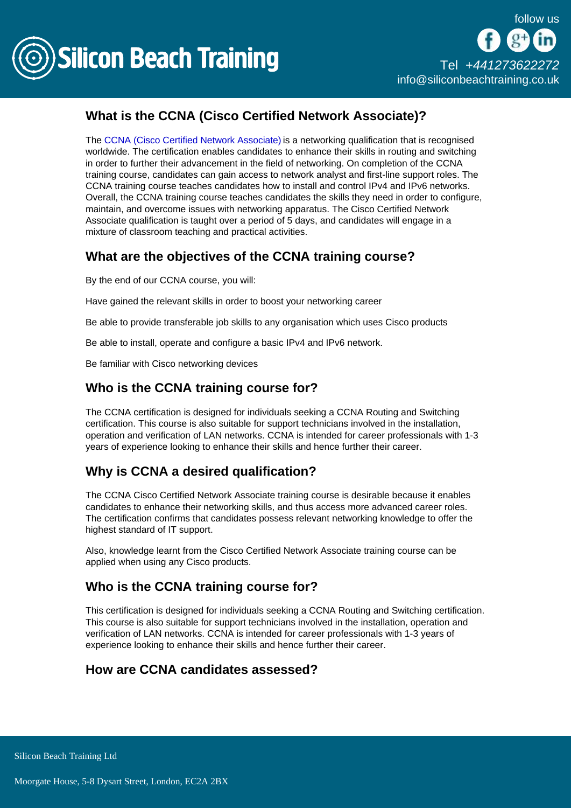

## What is the CCNA (Cisco Certified Network Associate)?

The [CCNA \(Cisco Certified Network Associate\)](/cisco-training) is a networking qualification that is recognised worldwide. The certification enables candidates to enhance their skills in routing and switching in order to further their advancement in the field of networking. On completion of the CCNA training course, candidates can gain access to network analyst and first-line support roles. The CCNA training course teaches candidates how to install and control IPv4 and IPv6 networks. Overall, the CCNA training course teaches candidates the skills they need in order to configure, maintain, and overcome issues with networking apparatus. The Cisco Certified Network Associate qualification is taught over a period of 5 days, and candidates will engage in a mixture of classroom teaching and practical activities.

### What are the objectives of the CCNA training course?

By the end of our CCNA course, you will:

Have gained the relevant skills in order to boost your networking career

Be able to provide transferable job skills to any organisation which uses Cisco products

Be able to install, operate and configure a basic IPv4 and IPv6 network.

Be familiar with Cisco networking devices

#### Who is the CCNA training course for?

The CCNA certification is designed for individuals seeking a CCNA Routing and Switching certification. This course is also suitable for support technicians involved in the installation, operation and verification of LAN networks. CCNA is intended for career professionals with 1-3 years of experience looking to enhance their skills and hence further their career.

#### Why is CCNA a desired qualification?

The CCNA Cisco Certified Network Associate training course is desirable because it enables candidates to enhance their networking skills, and thus access more advanced career roles. The certification confirms that candidates possess relevant networking knowledge to offer the highest standard of IT support.

Also, knowledge learnt from the Cisco Certified Network Associate training course can be applied when using any Cisco products.

#### Who is the CCNA training course for?

This certification is designed for individuals seeking a CCNA Routing and Switching certification. This course is also suitable for support technicians involved in the installation, operation and verification of LAN networks. CCNA is intended for career professionals with 1-3 years of experience looking to enhance their skills and hence further their career.

#### How are CCNA candidates assessed?

**Silicon Beach Training Ltd**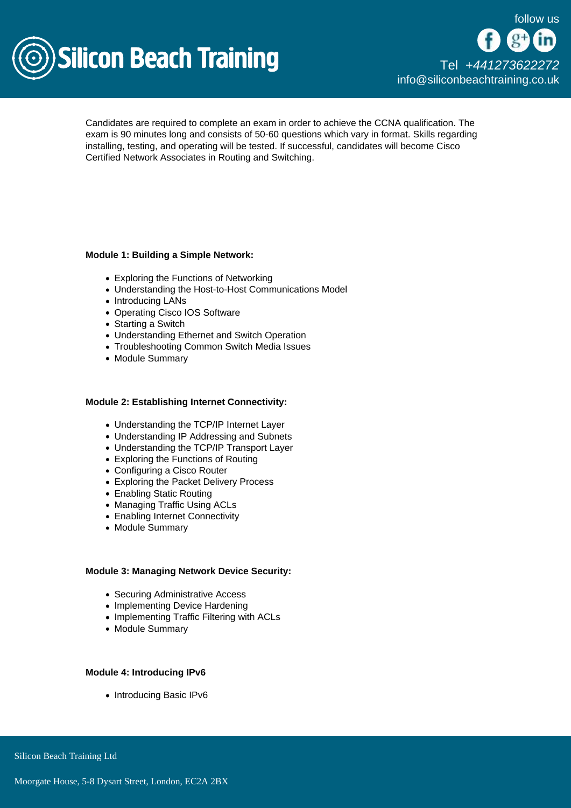

Candidates are required to complete an exam in order to achieve the CCNA qualification. The exam is 90 minutes long and consists of 50-60 questions which vary in format. Skills regarding installing, testing, and operating will be tested. If successful, candidates will become Cisco Certified Network Associates in Routing and Switching.

Module 1: Building a Simple Network:

- Exploring the Functions of Networking
- Understanding the Host-to-Host Communications Model
- Introducing LANs
- Operating Cisco IOS Software
- Starting a Switch
- Understanding Ethernet and Switch Operation
- Troubleshooting Common Switch Media Issues
- Module Summary

Module 2: Establishing Internet Connectivity:

- Understanding the TCP/IP Internet Layer
- Understanding IP Addressing and Subnets
- Understanding the TCP/IP Transport Layer
- Exploring the Functions of Routing
- Configuring a Cisco Router
- Exploring the Packet Delivery Process
- Enabling Static Routing
- Managing Traffic Using ACLs
- Enabling Internet Connectivity
- Module Summary

Module 3: Managing Network Device Security:

- Securing Administrative Access
- Implementing Device Hardening
- Implementing Traffic Filtering with ACLs
- Module Summary

Module 4: Introducing IPv6

• Introducing Basic IPv6

Silicon Beach Training Ltd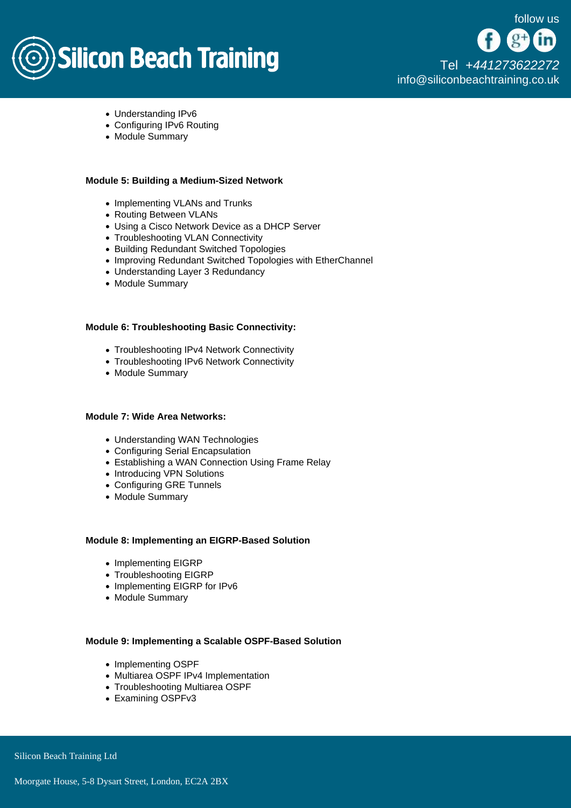# **Silicon Beach Training**

[Tel +44](tel:+441273622272)1273622272 [info@siliconbeachtraining.co.uk](/var/www/html/siliconbeachtraining.co.uk/public/mailTo:info@siliconbeachtraining.co.uk)

- Understanding IPv6
- Configuring IPv6 Routing
- Module Summary

Module 5: Building a Medium-Sized Network

- Implementing VLANs and Trunks
- Routing Between VLANs
- Using a Cisco Network Device as a DHCP Server
- Troubleshooting VLAN Connectivity
- Building Redundant Switched Topologies
- Improving Redundant Switched Topologies with EtherChannel
- Understanding Layer 3 Redundancy
- Module Summary

Module 6: Troubleshooting Basic Connectivity:

- Troubleshooting IPv4 Network Connectivity
- Troubleshooting IPv6 Network Connectivity
- Module Summary

Module 7: Wide Area Networks:

- Understanding WAN Technologies
- Configuring Serial Encapsulation
- Establishing a WAN Connection Using Frame Relay
- Introducing VPN Solutions
- Configuring GRE Tunnels
- Module Summary

Module 8: Implementing an EIGRP-Based Solution

- Implementing EIGRP
- Troubleshooting EIGRP
- Implementing EIGRP for IPv6
- Module Summary

Module 9: Implementing a Scalable OSPF-Based Solution

- Implementing OSPF
- Multiarea OSPF IPv4 Implementation
- Troubleshooting Multiarea OSPF
- Examining OSPFv3

Silicon Beach Training Ltd